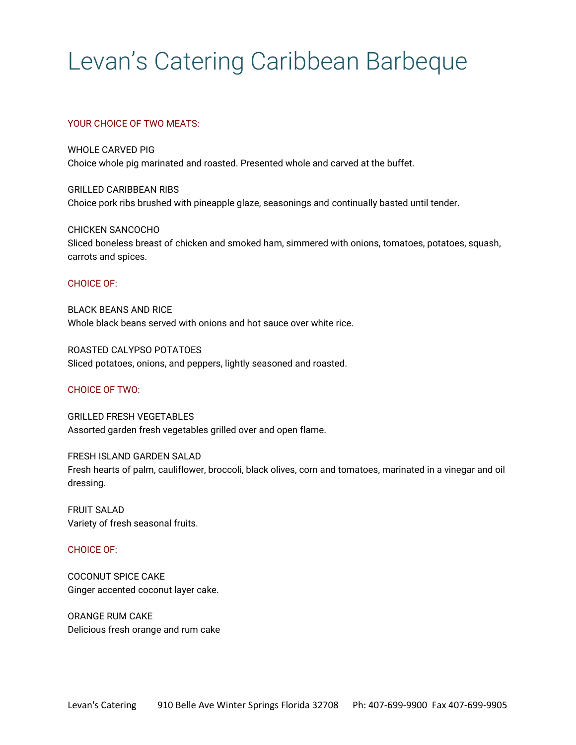# Levan's Catering Caribbean Barbeque

# YOUR CHOICE OF TWO MEATS:

WHOLE CARVED PIG Choice whole pig marinated and roasted. Presented whole and carved at the buffet.

GRILLED CARIBBEAN RIBS Choice pork ribs brushed with pineapple glaze, seasonings and continually basted until tender.

CHICKEN SANCOCHO Sliced boneless breast of chicken and smoked ham, simmered with onions, tomatoes, potatoes, squash, carrots and spices.

#### CHOICE OF:

BLACK BEANS AND RICE Whole black beans served with onions and hot sauce over white rice.

ROASTED CALYPSO POTATOES Sliced potatoes, onions, and peppers, lightly seasoned and roasted.

# CHOICE OF TWO:

GRILLED FRESH VEGETABLES Assorted garden fresh vegetables grilled over and open flame.

FRESH ISLAND GARDEN SALAD Fresh hearts of palm, cauliflower, broccoli, black olives, corn and tomatoes, marinated in a vinegar and oil dressing.

FRUIT SALAD Variety of fresh seasonal fruits.

# CHOICE OF:

COCONUT SPICE CAKE Ginger accented coconut layer cake.

ORANGE RUM CAKE Delicious fresh orange and rum cake